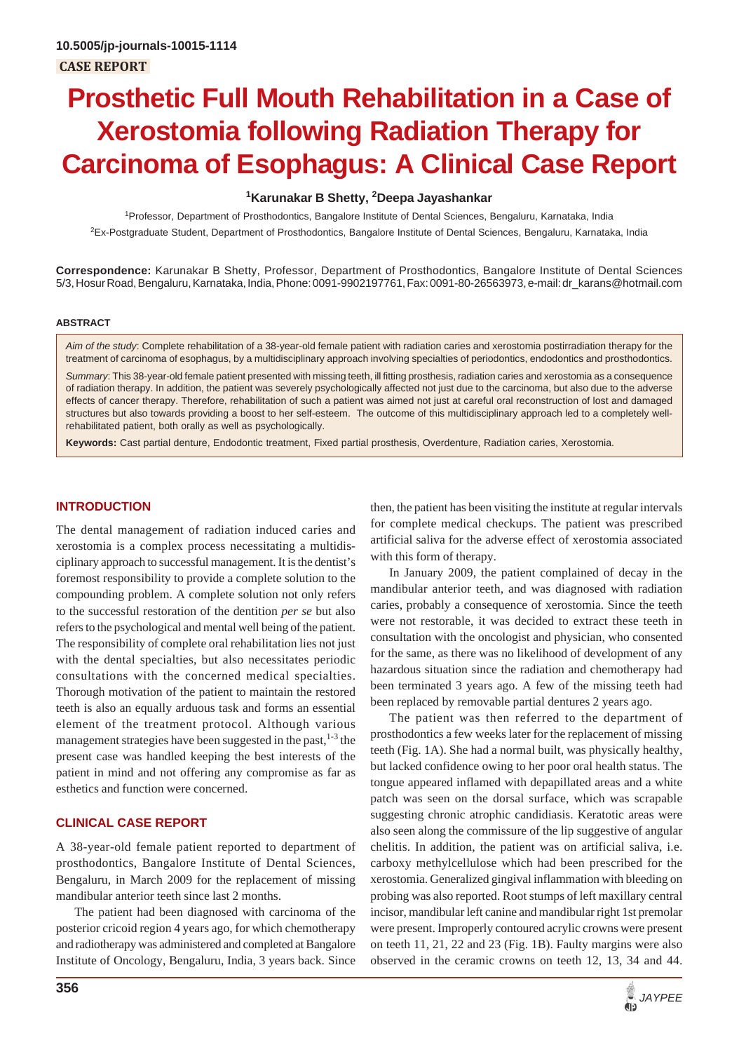# **Prosthetic Full Mouth Rehabilitation in a Case of Xerostomia following Radiation Therapy for Carcinoma of Esophagus: A Clinical Case Report**

### **1 Karunakar B Shetty, 2 Deepa Jayashankar**

<sup>1</sup> Professor, Department of Prosthodontics, Bangalore Institute of Dental Sciences, Bengaluru, Karnataka, India 2 Ex-Postgraduate Student, Department of Prosthodontics, Bangalore Institute of Dental Sciences, Bengaluru, Karnataka, India

**Correspondence:** Karunakar B Shetty, Professor, Department of Prosthodontics, Bangalore Institute of Dental Sciences 5/3, Hosur Road, Bengaluru, Karnataka, India, Phone: 0091-9902197761, Fax: 0091-80-26563973, e-mail: dr\_karans@hotmail.com

#### **ABSTRACT**

*Aim of the study*: Complete rehabilitation of a 38-year-old female patient with radiation caries and xerostomia postirradiation therapy for the treatment of carcinoma of esophagus, by a multidisciplinary approach involving specialties of periodontics, endodontics and prosthodontics.

*Summary*: This 38-year-old female patient presented with missing teeth, ill fitting prosthesis, radiation caries and xerostomia as a consequence of radiation therapy. In addition, the patient was severely psychologically affected not just due to the carcinoma, but also due to the adverse effects of cancer therapy. Therefore, rehabilitation of such a patient was aimed not just at careful oral reconstruction of lost and damaged structures but also towards providing a boost to her self-esteem. The outcome of this multidisciplinary approach led to a completely wellrehabilitated patient, both orally as well as psychologically.

**Keywords:** Cast partial denture, Endodontic treatment, Fixed partial prosthesis, Overdenture, Radiation caries, Xerostomia.

## **INTRODUCTION**

The dental management of radiation induced caries and xerostomia is a complex process necessitating a multidisciplinary approach to successful management. It is the dentist's foremost responsibility to provide a complete solution to the compounding problem. A complete solution not only refers to the successful restoration of the dentition *per se* but also refers to the psychological and mental well being of the patient. The responsibility of complete oral rehabilitation lies not just with the dental specialties, but also necessitates periodic consultations with the concerned medical specialties. Thorough motivation of the patient to maintain the restored teeth is also an equally arduous task and forms an essential element of the treatment protocol. Although various management strategies have been suggested in the past,  $1-3$  the present case was handled keeping the best interests of the patient in mind and not offering any compromise as far as esthetics and function were concerned.

#### **CLINICAL CASE REPORT**

A 38-year-old female patient reported to department of prosthodontics, Bangalore Institute of Dental Sciences, Bengaluru, in March 2009 for the replacement of missing mandibular anterior teeth since last 2 months.

The patient had been diagnosed with carcinoma of the posterior cricoid region 4 years ago, for which chemotherapy and radiotherapy was administered and completed at Bangalore Institute of Oncology, Bengaluru, India, 3 years back. Since then, the patient has been visiting the institute at regular intervals for complete medical checkups. The patient was prescribed artificial saliva for the adverse effect of xerostomia associated with this form of therapy.

In January 2009, the patient complained of decay in the mandibular anterior teeth, and was diagnosed with radiation caries, probably a consequence of xerostomia. Since the teeth were not restorable, it was decided to extract these teeth in consultation with the oncologist and physician, who consented for the same, as there was no likelihood of development of any hazardous situation since the radiation and chemotherapy had been terminated 3 years ago. A few of the missing teeth had been replaced by removable partial dentures 2 years ago.

The patient was then referred to the department of prosthodontics a few weeks later for the replacement of missing teeth (Fig. 1A). She had a normal built, was physically healthy, but lacked confidence owing to her poor oral health status. The tongue appeared inflamed with depapillated areas and a white patch was seen on the dorsal surface, which was scrapable suggesting chronic atrophic candidiasis. Keratotic areas were also seen along the commissure of the lip suggestive of angular chelitis. In addition, the patient was on artificial saliva, i.e. carboxy methylcellulose which had been prescribed for the xerostomia. Generalized gingival inflammation with bleeding on probing was also reported. Root stumps of left maxillary central incisor, mandibular left canine and mandibular right 1st premolar were present. Improperly contoured acrylic crowns were present on teeth 11, 21, 22 and 23 (Fig. 1B). Faulty margins were also observed in the ceramic crowns on teeth 12, 13, 34 and 44.

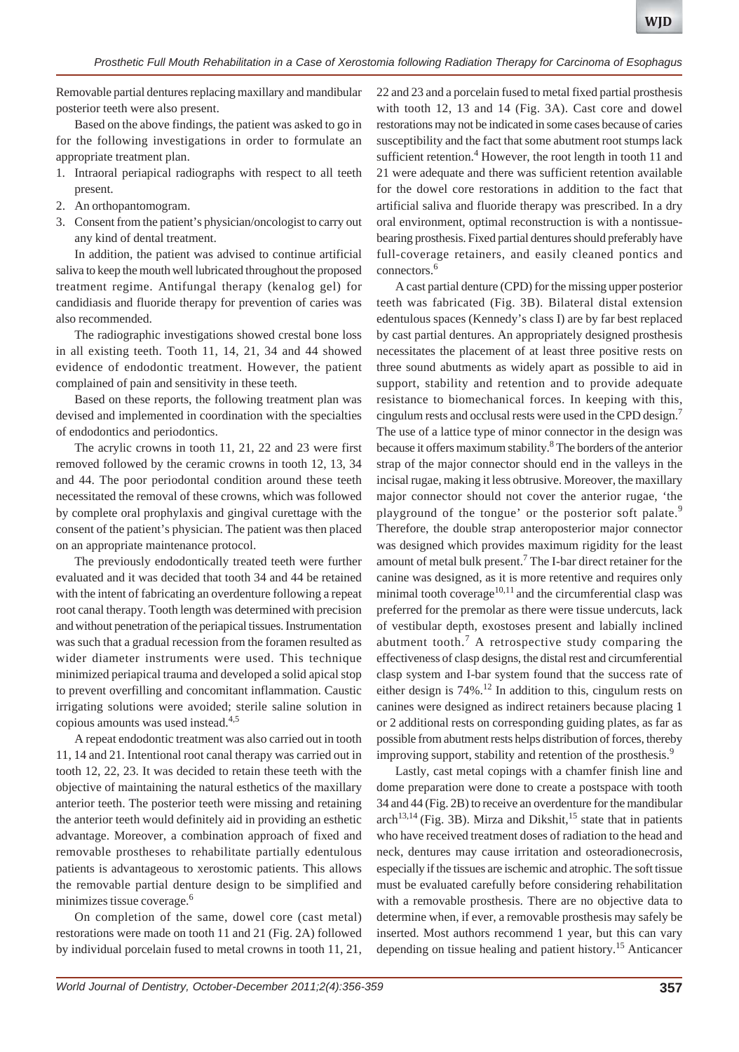Removable partial dentures replacing maxillary and mandibular posterior teeth were also present.

Based on the above findings, the patient was asked to go in for the following investigations in order to formulate an appropriate treatment plan.

- 1. Intraoral periapical radiographs with respect to all teeth present.
- 2. An orthopantomogram.
- 3. Consent from the patient's physician/oncologist to carry out any kind of dental treatment.

In addition, the patient was advised to continue artificial saliva to keep the mouth well lubricated throughout the proposed treatment regime. Antifungal therapy (kenalog gel) for candidiasis and fluoride therapy for prevention of caries was also recommended.

The radiographic investigations showed crestal bone loss in all existing teeth. Tooth 11, 14, 21, 34 and 44 showed evidence of endodontic treatment. However, the patient complained of pain and sensitivity in these teeth.

Based on these reports, the following treatment plan was devised and implemented in coordination with the specialties of endodontics and periodontics.

The acrylic crowns in tooth 11, 21, 22 and 23 were first removed followed by the ceramic crowns in tooth 12, 13, 34 and 44. The poor periodontal condition around these teeth necessitated the removal of these crowns, which was followed by complete oral prophylaxis and gingival curettage with the consent of the patient's physician. The patient was then placed on an appropriate maintenance protocol.

The previously endodontically treated teeth were further evaluated and it was decided that tooth 34 and 44 be retained with the intent of fabricating an overdenture following a repeat root canal therapy. Tooth length was determined with precision and without penetration of the periapical tissues. Instrumentation was such that a gradual recession from the foramen resulted as wider diameter instruments were used. This technique minimized periapical trauma and developed a solid apical stop to prevent overfilling and concomitant inflammation. Caustic irrigating solutions were avoided; sterile saline solution in copious amounts was used instead.4,5

A repeat endodontic treatment was also carried out in tooth 11, 14 and 21. Intentional root canal therapy was carried out in tooth 12, 22, 23. It was decided to retain these teeth with the objective of maintaining the natural esthetics of the maxillary anterior teeth. The posterior teeth were missing and retaining the anterior teeth would definitely aid in providing an esthetic advantage. Moreover, a combination approach of fixed and removable prostheses to rehabilitate partially edentulous patients is advantageous to xerostomic patients. This allows the removable partial denture design to be simplified and minimizes tissue coverage.<sup>6</sup>

On completion of the same, dowel core (cast metal) restorations were made on tooth 11 and 21 (Fig. 2A) followed by individual porcelain fused to metal crowns in tooth 11, 21,

22 and 23 and a porcelain fused to metal fixed partial prosthesis with tooth 12, 13 and 14 (Fig. 3A). Cast core and dowel restorations may not be indicated in some cases because of caries susceptibility and the fact that some abutment root stumps lack sufficient retention.<sup>4</sup> However, the root length in tooth 11 and 21 were adequate and there was sufficient retention available for the dowel core restorations in addition to the fact that artificial saliva and fluoride therapy was prescribed. In a dry oral environment, optimal reconstruction is with a nontissuebearing prosthesis. Fixed partial dentures should preferably have full-coverage retainers, and easily cleaned pontics and connectors.<sup>6</sup>

A cast partial denture (CPD) for the missing upper posterior teeth was fabricated (Fig. 3B). Bilateral distal extension edentulous spaces (Kennedy's class I) are by far best replaced by cast partial dentures. An appropriately designed prosthesis necessitates the placement of at least three positive rests on three sound abutments as widely apart as possible to aid in support, stability and retention and to provide adequate resistance to biomechanical forces. In keeping with this, cingulum rests and occlusal rests were used in the CPD design.7 The use of a lattice type of minor connector in the design was because it offers maximum stability.<sup>8</sup> The borders of the anterior strap of the major connector should end in the valleys in the incisal rugae, making it less obtrusive. Moreover, the maxillary major connector should not cover the anterior rugae, 'the playground of the tongue' or the posterior soft palate.<sup>9</sup> Therefore, the double strap anteroposterior major connector was designed which provides maximum rigidity for the least amount of metal bulk present.<sup>7</sup> The I-bar direct retainer for the canine was designed, as it is more retentive and requires only minimal tooth coverage $10,11$  and the circumferential clasp was preferred for the premolar as there were tissue undercuts, lack of vestibular depth, exostoses present and labially inclined abutment tooth.<sup>7</sup> A retrospective study comparing the effectiveness of clasp designs, the distal rest and circumferential clasp system and I-bar system found that the success rate of either design is  $74\%$ .<sup>12</sup> In addition to this, cingulum rests on canines were designed as indirect retainers because placing 1 or 2 additional rests on corresponding guiding plates, as far as possible from abutment rests helps distribution of forces, thereby improving support, stability and retention of the prosthesis.<sup>9</sup>

Lastly, cast metal copings with a chamfer finish line and dome preparation were done to create a postspace with tooth 34 and 44 (Fig. 2B) to receive an overdenture for the mandibular  $arch<sup>13,14</sup>$  (Fig. 3B). Mirza and Dikshit,<sup>15</sup> state that in patients who have received treatment doses of radiation to the head and neck, dentures may cause irritation and osteoradionecrosis, especially if the tissues are ischemic and atrophic. The soft tissue must be evaluated carefully before considering rehabilitation with a removable prosthesis. There are no objective data to determine when, if ever, a removable prosthesis may safely be inserted. Most authors recommend 1 year, but this can vary depending on tissue healing and patient history.<sup>15</sup> Anticancer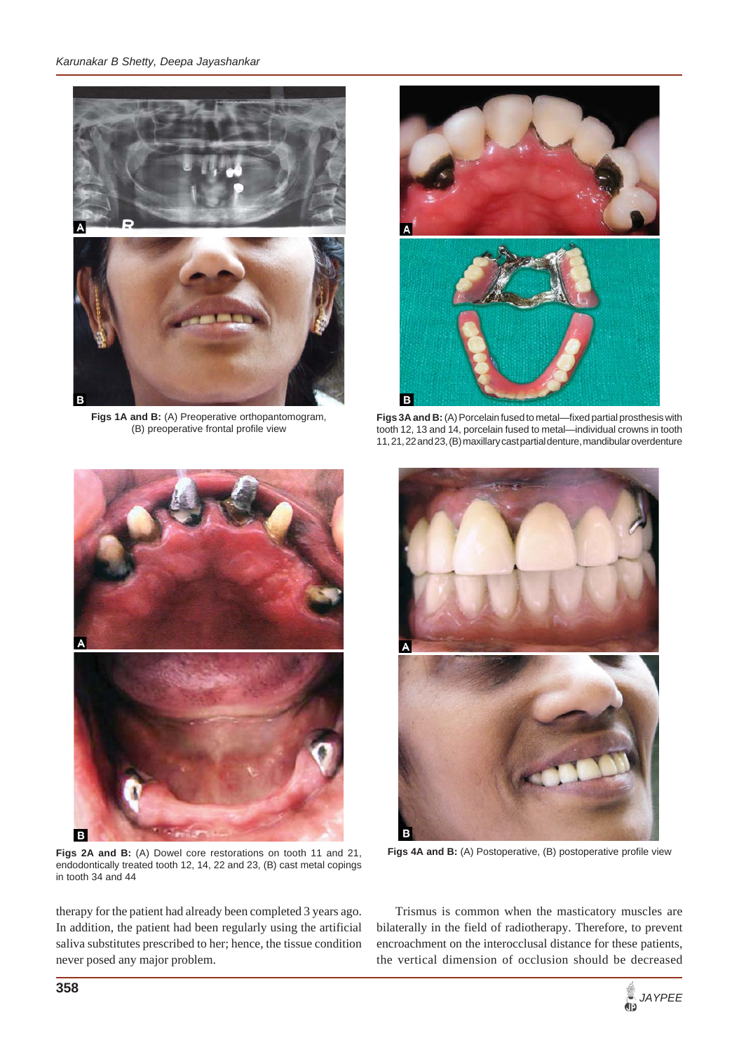#### *Karunakar B Shetty, Deepa Jayashankar*



**Figs 1A and B:** (A) Preoperative orthopantomogram, (B) preoperative frontal profile view



**Figs 3A and B:** (A) Porcelain fused to metal—fixed partial prosthesis with tooth 12, 13 and 14, porcelain fused to metal—individual crowns in tooth 11, 21, 22 and 23, (B) maxillary cast partial denture, mandibular overdenture



**Figs 2A and B:** (A) Dowel core restorations on tooth 11 and 21, endodontically treated tooth 12, 14, 22 and 23, (B) cast metal copings in tooth 34 and 44

therapy for the patient had already been completed 3 years ago. In addition, the patient had been regularly using the artificial saliva substitutes prescribed to her; hence, the tissue condition never posed any major problem.



**Figs 4A and B:** (A) Postoperative, (B) postoperative profile view

Trismus is common when the masticatory muscles are bilaterally in the field of radiotherapy. Therefore, to prevent encroachment on the interocclusal distance for these patients, the vertical dimension of occlusion should be decreased